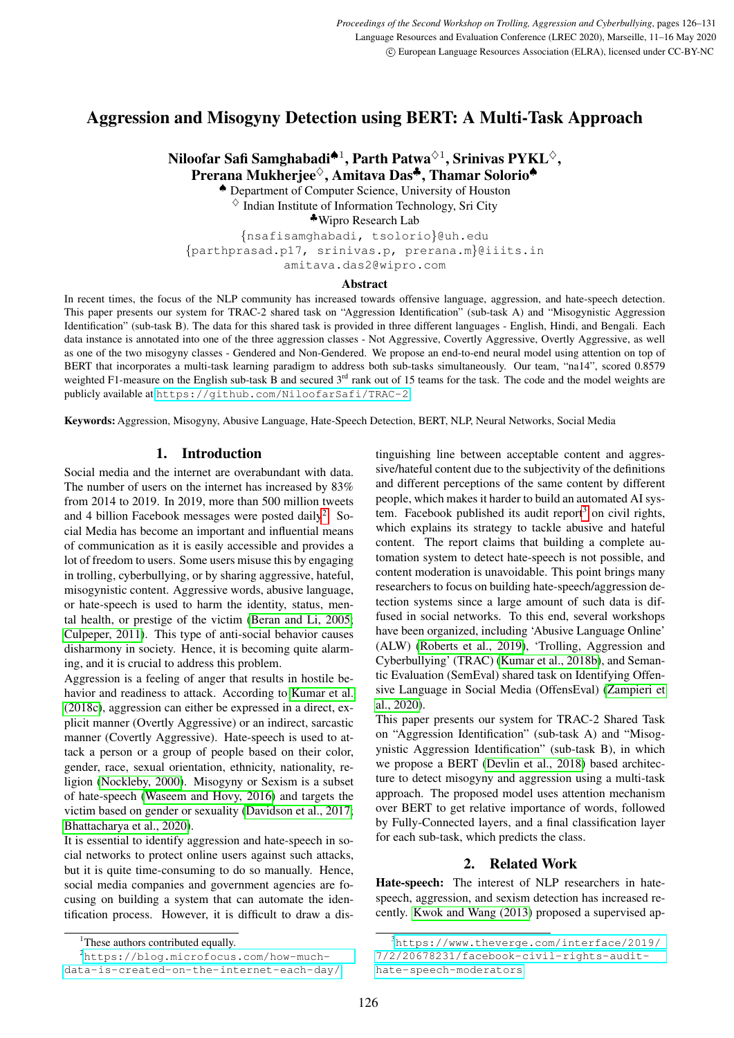# Aggression and Misogyny Detection using BERT: A Multi-Task Approach

Niloofar Safi Samghabadi $^{\spadesuit 1}$ , Parth Patwa $^{\lozenge 1}$ , Srinivas PYKL $^{\lozenge},$ Prerana Mukherjee<sup>◇</sup>, Amitava Das<sup>♣</sup>, Thamar Solorio<sup>●</sup>

♠ Department of Computer Science, University of Houston

 $\Diamond$  Indian Institute of Information Technology, Sri City

♣Wipro Research Lab

{nsafisamghabadi, tsolorio}@uh.edu {parthprasad.p17, srinivas.p, prerana.m}@iiits.in amitava.das2@wipro.com

#### Abstract

In recent times, the focus of the NLP community has increased towards offensive language, aggression, and hate-speech detection. This paper presents our system for TRAC-2 shared task on "Aggression Identification" (sub-task A) and "Misogynistic Aggression Identification" (sub-task B). The data for this shared task is provided in three different languages - English, Hindi, and Bengali. Each data instance is annotated into one of the three aggression classes - Not Aggressive, Covertly Aggressive, Overtly Aggressive, as well as one of the two misogyny classes - Gendered and Non-Gendered. We propose an end-to-end neural model using attention on top of BERT that incorporates a multi-task learning paradigm to address both sub-tasks simultaneously. Our team, "na14", scored 0.8579 weighted F1-measure on the English sub-task B and secured  $3<sup>rd</sup>$  rank out of 15 teams for the task. The code and the model weights are publicly available at <https://github.com/NiloofarSafi/TRAC-2>.

Keywords: Aggression, Misogyny, Abusive Language, Hate-Speech Detection, BERT, NLP, Neural Networks, Social Media

# 1. Introduction

Social media and the internet are overabundant with data. The number of users on the internet has increased by 83% from 2014 to 2019. In 2019, more than 500 million tweets and 4 billion Facebook messages were posted daily<sup>[2](#page-0-0)</sup>. Social Media has become an important and influential means of communication as it is easily accessible and provides a lot of freedom to users. Some users misuse this by engaging in trolling, cyberbullying, or by sharing aggressive, hateful, misogynistic content. Aggressive words, abusive language, or hate-speech is used to harm the identity, status, mental health, or prestige of the victim [\(Beran and Li, 2005;](#page-4-0) [Culpeper, 2011\)](#page-5-0). This type of anti-social behavior causes disharmony in society. Hence, it is becoming quite alarming, and it is crucial to address this problem.

Aggression is a feeling of anger that results in hostile behavior and readiness to attack. According to [Kumar et al.](#page-5-1) [\(2018c\)](#page-5-1), aggression can either be expressed in a direct, explicit manner (Overtly Aggressive) or an indirect, sarcastic manner (Covertly Aggressive). Hate-speech is used to attack a person or a group of people based on their color, gender, race, sexual orientation, ethnicity, nationality, religion [\(Nockleby, 2000\)](#page-5-2). Misogyny or Sexism is a subset of hate-speech [\(Waseem and Hovy, 2016\)](#page-5-3) and targets the victim based on gender or sexuality [\(Davidson et al., 2017;](#page-5-4) [Bhattacharya et al., 2020\)](#page-5-5).

It is essential to identify aggression and hate-speech in social networks to protect online users against such attacks, but it is quite time-consuming to do so manually. Hence, social media companies and government agencies are focusing on building a system that can automate the identification process. However, it is difficult to draw a distinguishing line between acceptable content and aggressive/hateful content due to the subjectivity of the definitions and different perceptions of the same content by different people, which makes it harder to build an automated AI system. Facebook published its audit report $3$  on civil rights, which explains its strategy to tackle abusive and hateful content. The report claims that building a complete automation system to detect hate-speech is not possible, and content moderation is unavoidable. This point brings many researchers to focus on building hate-speech/aggression detection systems since a large amount of such data is diffused in social networks. To this end, several workshops have been organized, including 'Abusive Language Online' (ALW) [\(Roberts et al., 2019\)](#page-5-6), 'Trolling, Aggression and Cyberbullying' (TRAC) [\(Kumar et al., 2018b\)](#page-5-7), and Semantic Evaluation (SemEval) shared task on Identifying Offensive Language in Social Media (OffensEval) [\(Zampieri et](#page-5-8) [al., 2020\)](#page-5-8).

This paper presents our system for TRAC-2 Shared Task on "Aggression Identification" (sub-task A) and "Misogynistic Aggression Identification" (sub-task B), in which we propose a BERT [\(Devlin et al., 2018\)](#page-5-9) based architecture to detect misogyny and aggression using a multi-task approach. The proposed model uses attention mechanism over BERT to get relative importance of words, followed by Fully-Connected layers, and a final classification layer for each sub-task, which predicts the class.

# 2. Related Work

Hate-speech: The interest of NLP researchers in hatespeech, aggression, and sexism detection has increased recently. [Kwok and Wang \(2013\)](#page-5-10) proposed a supervised ap-

<span id="page-0-0"></span><sup>&</sup>lt;sup>1</sup>These authors contributed equally.

<sup>2</sup>[https://blog.microfocus.com/how-much](https://blog.microfocus.com/how-much-data-is-created-on-the-internet-each-day/)[data-is-created-on-the-internet-each-day/](https://blog.microfocus.com/how-much-data-is-created-on-the-internet-each-day/)

<span id="page-0-1"></span><sup>3</sup>[https://www.theverge.com/interface/2019/](https://www.theverge.com/interface/2019/7/2/20678231/facebook-civil-rights-audit-hate-speech-moderators) [7/2/20678231/facebook-civil-rights-audit](https://www.theverge.com/interface/2019/7/2/20678231/facebook-civil-rights-audit-hate-speech-moderators)[hate-speech-moderators](https://www.theverge.com/interface/2019/7/2/20678231/facebook-civil-rights-audit-hate-speech-moderators)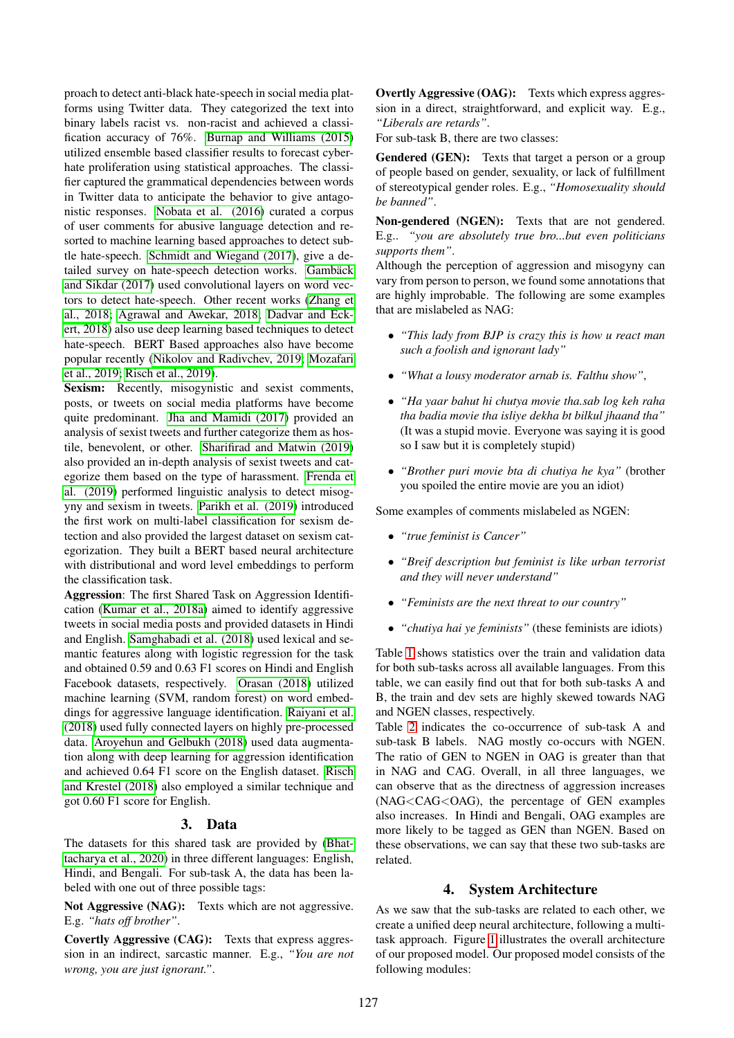proach to detect anti-black hate-speech in social media platforms using Twitter data. They categorized the text into binary labels racist vs. non-racist and achieved a classification accuracy of 76%. [Burnap and Williams \(2015\)](#page-5-11) utilized ensemble based classifier results to forecast cyberhate proliferation using statistical approaches. The classifier captured the grammatical dependencies between words in Twitter data to anticipate the behavior to give antagonistic responses. [Nobata et al. \(2016\)](#page-5-12) curated a corpus of user comments for abusive language detection and resorted to machine learning based approaches to detect subtle hate-speech. [Schmidt and Wiegand \(2017\)](#page-5-13), give a detailed survey on hate-speech detection works. Gambäck [and Sikdar \(2017\)](#page-5-14) used convolutional layers on word vectors to detect hate-speech. Other recent works [\(Zhang et](#page-5-15) [al., 2018;](#page-5-15) [Agrawal and Awekar, 2018;](#page-4-1) [Dadvar and Eck](#page-5-16)[ert, 2018\)](#page-5-16) also use deep learning based techniques to detect hate-speech. BERT Based approaches also have become popular recently [\(Nikolov and Radivchev, 2019;](#page-5-17) [Mozafari](#page-5-18) [et al., 2019;](#page-5-18) [Risch et al., 2019\)](#page-5-19).

Sexism: Recently, misogynistic and sexist comments, posts, or tweets on social media platforms have become quite predominant. [Jha and Mamidi \(2017\)](#page-5-20) provided an analysis of sexist tweets and further categorize them as hostile, benevolent, or other. [Sharifirad and Matwin \(2019\)](#page-5-21) also provided an in-depth analysis of sexist tweets and categorize them based on the type of harassment. [Frenda et](#page-5-22) [al. \(2019\)](#page-5-22) performed linguistic analysis to detect misogyny and sexism in tweets. [Parikh et al. \(2019\)](#page-5-23) introduced the first work on multi-label classification for sexism detection and also provided the largest dataset on sexism categorization. They built a BERT based neural architecture with distributional and word level embeddings to perform the classification task.

Aggression: The first Shared Task on Aggression Identification [\(Kumar et al., 2018a\)](#page-5-24) aimed to identify aggressive tweets in social media posts and provided datasets in Hindi and English. [Samghabadi et al. \(2018\)](#page-5-25) used lexical and semantic features along with logistic regression for the task and obtained 0.59 and 0.63 F1 scores on Hindi and English Facebook datasets, respectively. [Orasan \(2018\)](#page-5-26) utilized machine learning (SVM, random forest) on word embeddings for aggressive language identification. [Raiyani et al.](#page-5-27) [\(2018\)](#page-5-27) used fully connected layers on highly pre-processed data. [Aroyehun and Gelbukh \(2018\)](#page-4-2) used data augmentation along with deep learning for aggression identification and achieved 0.64 F1 score on the English dataset. [Risch](#page-5-28) [and Krestel \(2018\)](#page-5-28) also employed a similar technique and got 0.60 F1 score for English.

## 3. Data

The datasets for this shared task are provided by [\(Bhat](#page-5-5)[tacharya et al., 2020\)](#page-5-5) in three different languages: English, Hindi, and Bengali. For sub-task A, the data has been labeled with one out of three possible tags:

Not Aggressive (NAG): Texts which are not aggressive. E.g. *"hats off brother"*.

Covertly Aggressive (CAG): Texts that express aggression in an indirect, sarcastic manner. E.g., *"You are not wrong, you are just ignorant."*.

Overtly Aggressive (OAG): Texts which express aggression in a direct, straightforward, and explicit way. E.g., *"Liberals are retards"*.

For sub-task B, there are two classes:

Gendered (GEN): Texts that target a person or a group of people based on gender, sexuality, or lack of fulfillment of stereotypical gender roles. E.g., *"Homosexuality should be banned"*.

Non-gendered (NGEN): Texts that are not gendered. E.g.. *"you are absolutely true bro...but even politicians supports them"*.

Although the perception of aggression and misogyny can vary from person to person, we found some annotations that are highly improbable. The following are some examples that are mislabeled as NAG:

- *"This lady from BJP is crazy this is how u react man such a foolish and ignorant lady"*
- *"What a lousy moderator arnab is. Falthu show"*,
- *"Ha yaar bahut hi chutya movie tha.sab log keh raha tha badia movie tha isliye dekha bt bilkul jhaand tha"* (It was a stupid movie. Everyone was saying it is good so I saw but it is completely stupid)
- *"Brother puri movie bta di chutiya he kya"* (brother you spoiled the entire movie are you an idiot)

Some examples of comments mislabeled as NGEN:

- *"true feminist is Cancer"*
- *"Breif description but feminist is like urban terrorist and they will never understand"*
- *"Feminists are the next threat to our country"*
- *"chutiya hai ye feminists"* (these feminists are idiots)

Table [1](#page-2-0) shows statistics over the train and validation data for both sub-tasks across all available languages. From this table, we can easily find out that for both sub-tasks A and B, the train and dev sets are highly skewed towards NAG and NGEN classes, respectively.

Table [2](#page-2-1) indicates the co-occurrence of sub-task A and sub-task B labels. NAG mostly co-occurs with NGEN. The ratio of GEN to NGEN in OAG is greater than that in NAG and CAG. Overall, in all three languages, we can observe that as the directness of aggression increases (NAG<CAG<OAG), the percentage of GEN examples also increases. In Hindi and Bengali, OAG examples are more likely to be tagged as GEN than NGEN. Based on these observations, we can say that these two sub-tasks are related.

## 4. System Architecture

As we saw that the sub-tasks are related to each other, we create a unified deep neural architecture, following a multitask approach. Figure [1](#page-2-2) illustrates the overall architecture of our proposed model. Our proposed model consists of the following modules: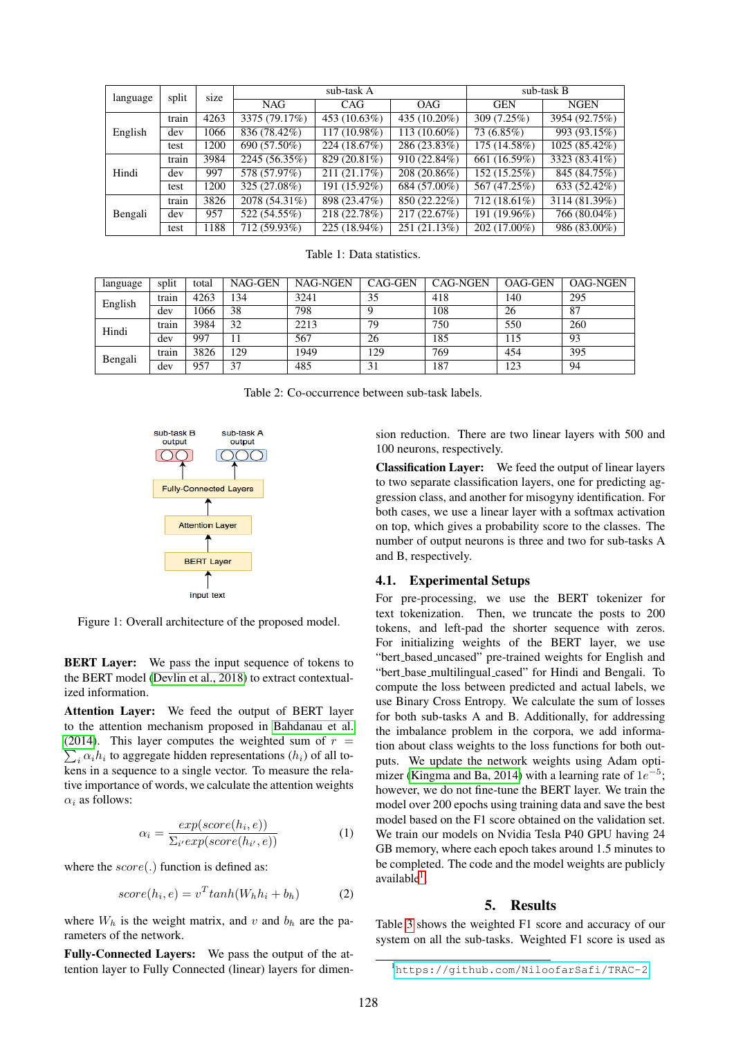<span id="page-2-0"></span>

| language | split | size |               | sub-task A   | sub-task B     |              |               |
|----------|-------|------|---------------|--------------|----------------|--------------|---------------|
|          |       |      | <b>NAG</b>    | <b>CAG</b>   | <b>OAG</b>     | <b>GEN</b>   | <b>NGEN</b>   |
| English  | train | 4263 | 3375 (79.17%) | 453 (10.63%) | 435 (10.20%)   | 309 (7.25%)  | 3954 (92.75%) |
|          | dev   | 1066 | 836 (78.42%)  | 117 (10.98%) | $113(10.60\%)$ | 73 (6.85%)   | 993 (93.15%)  |
|          | test  | 1200 | 690 (57.50%)  | 224 (18.67%) | 286 (23.83%)   | 175 (14.58%) | 1025 (85.42%) |
| Hindi    | train | 3984 | 2245 (56.35%) | 829 (20.81%) | 910 (22.84%)   | 661 (16.59%) | 3323 (83.41%) |
|          | dev   | 997  | 578 (57.97%)  | 211 (21.17%) | 208 (20.86%)   | 152 (15.25%) | 845 (84.75%)  |
|          | test  | 1200 | 325 (27.08%)  | 191 (15.92%) | 684 (57.00%)   | 567 (47.25%) | 633 (52.42%)  |
| Bengali  | train | 3826 | 2078 (54.31%) | 898 (23.47%) | 850 (22.22%)   | 712 (18.61%) | 3114 (81.39%) |
|          | dev   | 957  | 522 (54.55%)  | 218 (22.78%) | 217 (22.67%)   | 191 (19.96%) | 766 (80.04%)  |
|          | test  | 1188 | 712 (59.93%)  | 225 (18.94%) | 251 (21.13%)   | 202 (17.00%) | 986 (83.00%)  |

Table 1: Data statistics.

<span id="page-2-1"></span>

| language | split | total | NAG-GEN | <b>NAG-NGEN</b> | CAG-GEN | <b>CAG-NGEN</b> | <b>OAG-GEN</b> | <b>OAG-NGEN</b> |
|----------|-------|-------|---------|-----------------|---------|-----------------|----------------|-----------------|
| English  | train | 4263  | 134     | 3241            | 35      | 418             | 140            | 295             |
|          | dev   | 1066  | 38      | 798             |         | 108             | 26             | -87             |
| Hindi    | train | 3984  | 32      | 2213            | 79      | 750             | 550            | 260             |
|          | dev   | 997   |         | 567             | 26      | 185             | 115            | 93              |
| Bengali  | train | 3826  | 129     | 1949            | 129     | 769             | 454            | 395             |
|          | dev   | 957   | 37      | 485             | 31      | 187             | 123            | 94              |

Table 2: Co-occurrence between sub-task labels.

<span id="page-2-2"></span>

Figure 1: Overall architecture of the proposed model.

**BERT Layer:** We pass the input sequence of tokens to the BERT model [\(Devlin et al., 2018\)](#page-5-9) to extract contextualized information.

Attention Layer: We feed the output of BERT layer to the attention mechanism proposed in [Bahdanau et al.](#page-4-3)  $\sum_i \alpha_i h_i$  to aggregate hidden representations  $(h_i)$  of all to-[\(2014\)](#page-4-3). This layer computes the weighted sum of  $r =$ kens in a sequence to a single vector. To measure the relative importance of words, we calculate the attention weights  $\alpha_i$  as follows:

$$
\alpha_i = \frac{exp(score(h_i, e))}{\sum_{i'} exp(score(h_{i'}, e))}
$$
(1)

where the  $score(.)$  function is defined as:

$$
score(h_i, e) = v^T tanh(W_h h_i + b_h)
$$
 (2)

where  $W_h$  is the weight matrix, and v and  $b_h$  are the parameters of the network.

Fully-Connected Layers: We pass the output of the attention layer to Fully Connected (linear) layers for dimension reduction. There are two linear layers with 500 and 100 neurons, respectively.

Classification Layer: We feed the output of linear layers to two separate classification layers, one for predicting aggression class, and another for misogyny identification. For both cases, we use a linear layer with a softmax activation on top, which gives a probability score to the classes. The number of output neurons is three and two for sub-tasks A and B, respectively.

#### 4.1. Experimental Setups

For pre-processing, we use the BERT tokenizer for text tokenization. Then, we truncate the posts to 200 tokens, and left-pad the shorter sequence with zeros. For initializing weights of the BERT layer, we use "bert based uncased" pre-trained weights for English and "bert base multilingual cased" for Hindi and Bengali. To compute the loss between predicted and actual labels, we use Binary Cross Entropy. We calculate the sum of losses for both sub-tasks A and B. Additionally, for addressing the imbalance problem in the corpora, we add information about class weights to the loss functions for both outputs. We update the network weights using Adam opti-mizer [\(Kingma and Ba, 2014\)](#page-5-29) with a learning rate of  $1e^{-5}$ ; however, we do not fine-tune the BERT layer. We train the model over 200 epochs using training data and save the best model based on the F1 score obtained on the validation set. We train our models on Nvidia Tesla P40 GPU having 24 GB memory, where each epoch takes around 1.5 minutes to be completed. The code and the model weights are publicly available<sup>[1](#page-2-3)</sup>.

#### 5. Results

Table [3](#page-3-0) shows the weighted F1 score and accuracy of our system on all the sub-tasks. Weighted F1 score is used as

<span id="page-2-3"></span><sup>1</sup><https://github.com/NiloofarSafi/TRAC-2>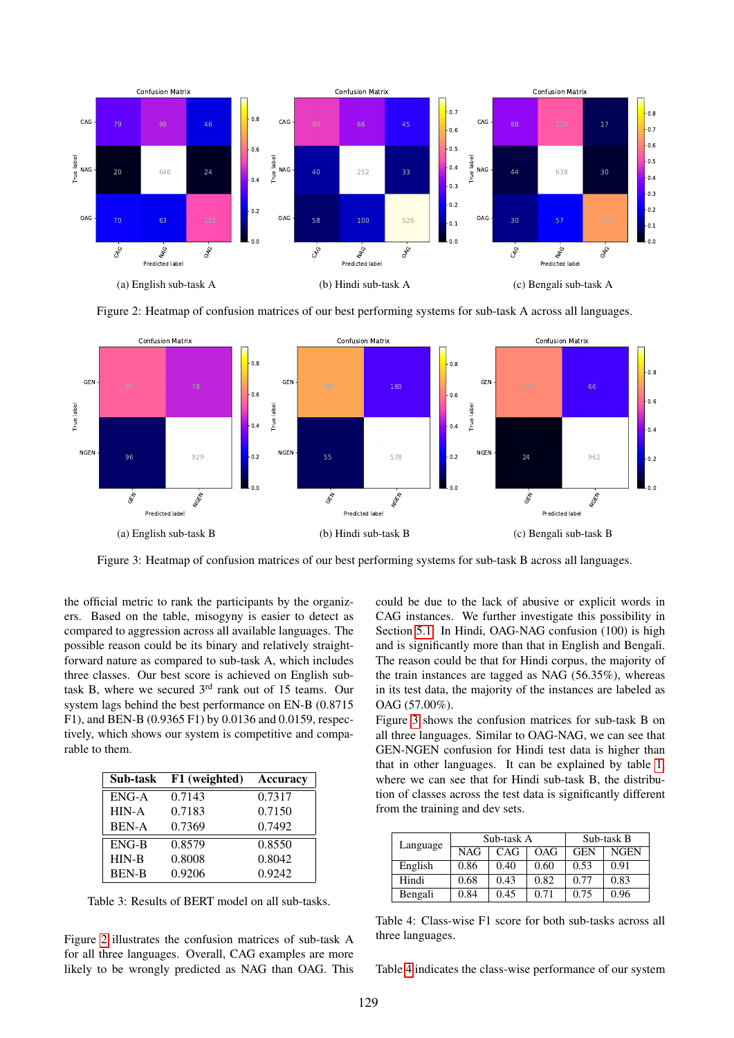<span id="page-3-1"></span>

<span id="page-3-2"></span>Figure 2: Heatmap of confusion matrices of our best performing systems for sub-task A across all languages.



Figure 3: Heatmap of confusion matrices of our best performing systems for sub-task B across all languages.

the official metric to rank the participants by the organizers. Based on the table, misogyny is easier to detect as compared to aggression across all available languages. The possible reason could be its binary and relatively straightforward nature as compared to sub-task A, which includes three classes. Our best score is achieved on English subtask B, where we secured  $3<sup>rd</sup>$  rank out of 15 teams. Our system lags behind the best performance on EN-B (0.8715 F1), and BEN-B (0.9365 F1) by 0.0136 and 0.0159, respectively, which shows our system is competitive and comparable to them.

<span id="page-3-0"></span>

| Sub-task     | F1 (weighted) | Accuracy |
|--------------|---------------|----------|
| $ENG-A$      | 0.7143        | 0.7317   |
| HIN-A        | 0.7183        | 0.7150   |
| <b>BEN-A</b> | 0.7369        | 0.7492   |
| ENG-B        | 0.8579        | 0.8550   |
| $HIN-B$      | 0.8008        | 0.8042   |
| <b>BEN-B</b> | 0.9206        | 0.9242   |

Table 3: Results of BERT model on all sub-tasks.

Figure [2](#page-3-1) illustrates the confusion matrices of sub-task A for all three languages. Overall, CAG examples are more likely to be wrongly predicted as NAG than OAG. This could be due to the lack of abusive or explicit words in CAG instances. We further investigate this possibility in Section [5.1.](#page-4-4) In Hindi, OAG-NAG confusion (100) is high and is significantly more than that in English and Bengali. The reason could be that for Hindi corpus, the majority of the train instances are tagged as NAG (56.35%), whereas in its test data, the majority of the instances are labeled as OAG (57.00%).

Figure [3](#page-3-2) shows the confusion matrices for sub-task B on all three languages. Similar to OAG-NAG, we can see that GEN-NGEN confusion for Hindi test data is higher than that in other languages. It can be explained by table [1,](#page-2-0) where we can see that for Hindi sub-task B, the distribution of classes across the test data is significantly different from the training and dev sets.

<span id="page-3-3"></span>

| Language | Sub-task A |      |      | Sub-task B |             |  |
|----------|------------|------|------|------------|-------------|--|
|          | <b>NAG</b> | CAG  | OAG  | <b>GEN</b> | <b>NGEN</b> |  |
| English  | 0.86       | 0.40 | 0.60 | 0.53       | 0.91        |  |
| Hindi    | 0.68       | 0.43 | 0.82 | 0.77       | 0.83        |  |
| Bengali  | 0.84       | 0.45 | 0.71 | 0.75       | 0.96        |  |

Table 4: Class-wise F1 score for both sub-tasks across all three languages.

Table [4](#page-3-3) indicates the class-wise performance of our system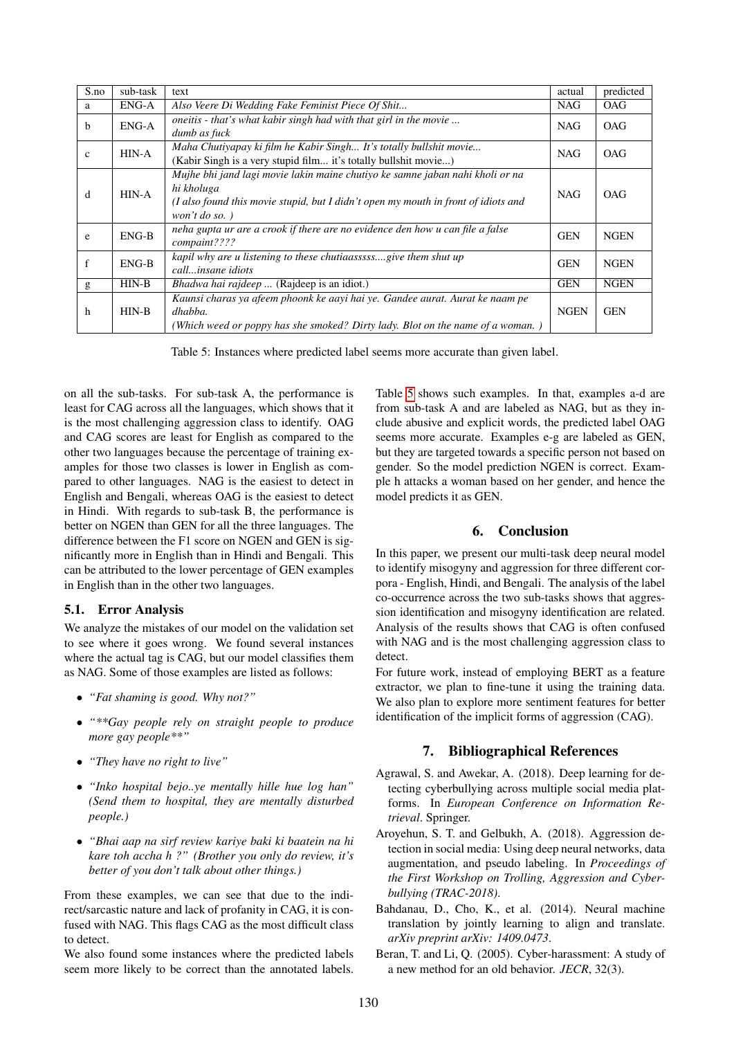<span id="page-4-5"></span>

| S.no         | sub-task | text                                                                                                                                                                                                      | actual      | predicted   |
|--------------|----------|-----------------------------------------------------------------------------------------------------------------------------------------------------------------------------------------------------------|-------------|-------------|
| a            | ENG-A    | Also Veere Di Wedding Fake Feminist Piece Of Shit                                                                                                                                                         | <b>NAG</b>  | <b>OAG</b>  |
| b            | ENG-A    | oneitis - that's what kabir singh had with that girl in the movie<br>dumb as fuck                                                                                                                         | <b>NAG</b>  | <b>OAG</b>  |
| $\mathbf{c}$ | HIN-A    | Maha Chutiyapay ki film he Kabir Singh It's totally bullshit movie<br>(Kabir Singh is a very stupid film it's totally bullshit movie)                                                                     | <b>NAG</b>  | <b>OAG</b>  |
| d            | HIN-A    | Mujhe bhi jand lagi movie lakin maine chutiyo ke samne jaban nahi kholi or na<br>hi kholuga<br>(I also found this movie stupid, but I didn't open my mouth in front of idiots and<br>won't do so. $\big)$ | <b>NAG</b>  | OAG         |
| e            | $ENG-B$  | neha gupta ur are a crook if there are no evidence den how u can file a false<br>compaint????                                                                                                             | <b>GEN</b>  | <b>NGEN</b> |
| f            | $ENG-B$  | kapil why are u listening to these chutiaasssssgive them shut up<br>callinsane idiots                                                                                                                     | <b>GEN</b>  | <b>NGEN</b> |
| $\mathbf{g}$ | $HIN-B$  | <i>Bhadwa hai rajdeep</i> (Rajdeep is an idiot.)                                                                                                                                                          | <b>GEN</b>  | <b>NGEN</b> |
| h            | $HIN-B$  | Kaunsi charas ya afeem phoonk ke aayi hai ye. Gandee aurat. Aurat ke naam pe<br>dhabba.<br>(Which weed or poppy has she smoked? Dirty lady. Blot on the name of a woman.)                                 | <b>NGEN</b> | <b>GEN</b>  |

Table 5: Instances where predicted label seems more accurate than given label.

on all the sub-tasks. For sub-task A, the performance is least for CAG across all the languages, which shows that it is the most challenging aggression class to identify. OAG and CAG scores are least for English as compared to the other two languages because the percentage of training examples for those two classes is lower in English as compared to other languages. NAG is the easiest to detect in English and Bengali, whereas OAG is the easiest to detect in Hindi. With regards to sub-task B, the performance is better on NGEN than GEN for all the three languages. The difference between the F1 score on NGEN and GEN is significantly more in English than in Hindi and Bengali. This can be attributed to the lower percentage of GEN examples in English than in the other two languages.

## <span id="page-4-4"></span>5.1. Error Analysis

We analyze the mistakes of our model on the validation set to see where it goes wrong. We found several instances where the actual tag is CAG, but our model classifies them as NAG. Some of those examples are listed as follows:

- *"Fat shaming is good. Why not?"*
- *"\*\*Gay people rely on straight people to produce more gay people\*\*"*
- *"They have no right to live"*
- *"Inko hospital bejo..ye mentally hille hue log han" (Send them to hospital, they are mentally disturbed people.)*
- *"Bhai aap na sirf review kariye baki ki baatein na hi kare toh accha h ?" (Brother you only do review, it's better of you don't talk about other things.)*

From these examples, we can see that due to the indirect/sarcastic nature and lack of profanity in CAG, it is confused with NAG. This flags CAG as the most difficult class to detect.

We also found some instances where the predicted labels seem more likely to be correct than the annotated labels.

Table [5](#page-4-5) shows such examples. In that, examples a-d are from sub-task A and are labeled as NAG, but as they include abusive and explicit words, the predicted label OAG seems more accurate. Examples e-g are labeled as GEN, but they are targeted towards a specific person not based on gender. So the model prediction NGEN is correct. Example h attacks a woman based on her gender, and hence the model predicts it as GEN.

# 6. Conclusion

In this paper, we present our multi-task deep neural model to identify misogyny and aggression for three different corpora - English, Hindi, and Bengali. The analysis of the label co-occurrence across the two sub-tasks shows that aggression identification and misogyny identification are related. Analysis of the results shows that CAG is often confused with NAG and is the most challenging aggression class to detect.

For future work, instead of employing BERT as a feature extractor, we plan to fine-tune it using the training data. We also plan to explore more sentiment features for better identification of the implicit forms of aggression (CAG).

# 7. Bibliographical References

- <span id="page-4-1"></span>Agrawal, S. and Awekar, A. (2018). Deep learning for detecting cyberbullying across multiple social media platforms. In *European Conference on Information Retrieval*. Springer.
- <span id="page-4-2"></span>Aroyehun, S. T. and Gelbukh, A. (2018). Aggression detection in social media: Using deep neural networks, data augmentation, and pseudo labeling. In *Proceedings of the First Workshop on Trolling, Aggression and Cyberbullying (TRAC-2018)*.
- <span id="page-4-3"></span>Bahdanau, D., Cho, K., et al. (2014). Neural machine translation by jointly learning to align and translate. *arXiv preprint arXiv: 1409.0473*.
- <span id="page-4-0"></span>Beran, T. and Li, Q. (2005). Cyber-harassment: A study of a new method for an old behavior. *JECR*, 32(3).